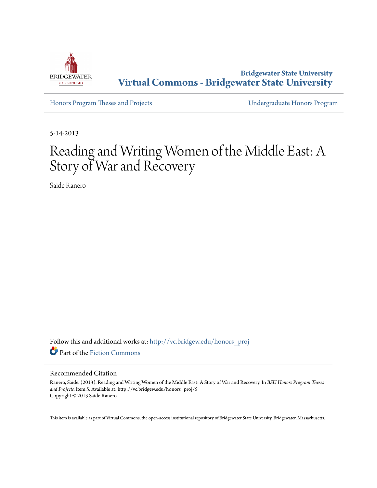

**Bridgewater State University [Virtual Commons - Bridgewater State University](http://vc.bridgew.edu?utm_source=vc.bridgew.edu%2Fhonors_proj%2F5&utm_medium=PDF&utm_campaign=PDFCoverPages)**

[Honors Program Theses and Projects](http://vc.bridgew.edu/honors_proj?utm_source=vc.bridgew.edu%2Fhonors_proj%2F5&utm_medium=PDF&utm_campaign=PDFCoverPages) [Undergraduate Honors Program](http://vc.bridgew.edu/honors?utm_source=vc.bridgew.edu%2Fhonors_proj%2F5&utm_medium=PDF&utm_campaign=PDFCoverPages)

5-14-2013

# Reading and Writing Women of the Middle East: A Story of War and Recovery

Saide Ranero

Follow this and additional works at: [http://vc.bridgew.edu/honors\\_proj](http://vc.bridgew.edu/honors_proj?utm_source=vc.bridgew.edu%2Fhonors_proj%2F5&utm_medium=PDF&utm_campaign=PDFCoverPages) Part of the [Fiction Commons](http://network.bepress.com/hgg/discipline/1151?utm_source=vc.bridgew.edu%2Fhonors_proj%2F5&utm_medium=PDF&utm_campaign=PDFCoverPages)

#### Recommended Citation

Ranero, Saide. (2013). Reading and Writing Women of the Middle East: A Story of War and Recovery. In *BSU Honors Program Theses and Projects.* Item 5. Available at: http://vc.bridgew.edu/honors\_proj/5 Copyright © 2013 Saide Ranero

This item is available as part of Virtual Commons, the open-access institutional repository of Bridgewater State University, Bridgewater, Massachusetts.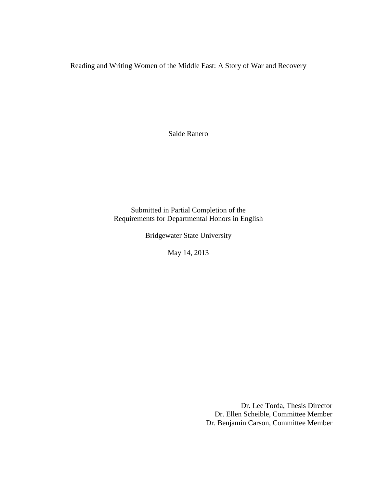Reading and Writing Women of the Middle East: A Story of War and Recovery

Saide Ranero

Submitted in Partial Completion of the Requirements for Departmental Honors in English

Bridgewater State University

May 14, 2013

Dr. Lee Torda, Thesis Director Dr. Ellen Scheible, Committee Member Dr. Benjamin Carson, Committee Member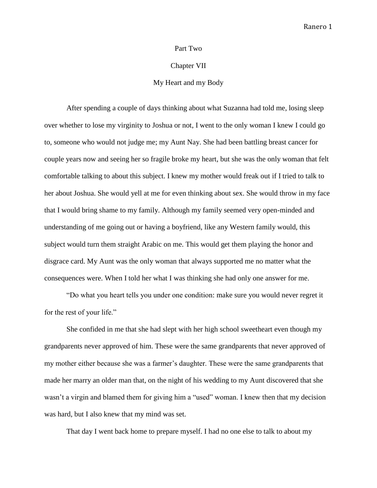#### Part Two

#### Chapter VII

## My Heart and my Body

After spending a couple of days thinking about what Suzanna had told me, losing sleep over whether to lose my virginity to Joshua or not, I went to the only woman I knew I could go to, someone who would not judge me; my Aunt Nay. She had been battling breast cancer for couple years now and seeing her so fragile broke my heart, but she was the only woman that felt comfortable talking to about this subject. I knew my mother would freak out if I tried to talk to her about Joshua. She would yell at me for even thinking about sex. She would throw in my face that I would bring shame to my family. Although my family seemed very open-minded and understanding of me going out or having a boyfriend, like any Western family would, this subject would turn them straight Arabic on me. This would get them playing the honor and disgrace card. My Aunt was the only woman that always supported me no matter what the consequences were. When I told her what I was thinking she had only one answer for me.

"Do what you heart tells you under one condition: make sure you would never regret it for the rest of your life."

She confided in me that she had slept with her high school sweetheart even though my grandparents never approved of him. These were the same grandparents that never approved of my mother either because she was a farmer's daughter. These were the same grandparents that made her marry an older man that, on the night of his wedding to my Aunt discovered that she wasn't a virgin and blamed them for giving him a "used" woman. I knew then that my decision was hard, but I also knew that my mind was set.

That day I went back home to prepare myself. I had no one else to talk to about my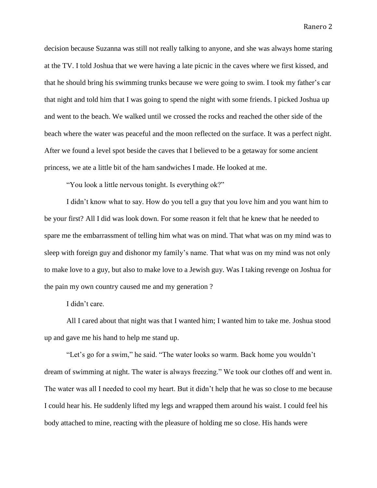decision because Suzanna was still not really talking to anyone, and she was always home staring at the TV. I told Joshua that we were having a late picnic in the caves where we first kissed, and that he should bring his swimming trunks because we were going to swim. I took my father's car that night and told him that I was going to spend the night with some friends. I picked Joshua up and went to the beach. We walked until we crossed the rocks and reached the other side of the beach where the water was peaceful and the moon reflected on the surface. It was a perfect night. After we found a level spot beside the caves that I believed to be a getaway for some ancient princess, we ate a little bit of the ham sandwiches I made. He looked at me.

"You look a little nervous tonight. Is everything ok?"

I didn't know what to say. How do you tell a guy that you love him and you want him to be your first? All I did was look down. For some reason it felt that he knew that he needed to spare me the embarrassment of telling him what was on mind. That what was on my mind was to sleep with foreign guy and dishonor my family's name. That what was on my mind was not only to make love to a guy, but also to make love to a Jewish guy. Was I taking revenge on Joshua for the pain my own country caused me and my generation ?

I didn't care.

All I cared about that night was that I wanted him; I wanted him to take me. Joshua stood up and gave me his hand to help me stand up.

"Let's go for a swim," he said. "The water looks so warm. Back home you wouldn't dream of swimming at night. The water is always freezing." We took our clothes off and went in. The water was all I needed to cool my heart. But it didn't help that he was so close to me because I could hear his. He suddenly lifted my legs and wrapped them around his waist. I could feel his body attached to mine, reacting with the pleasure of holding me so close. His hands were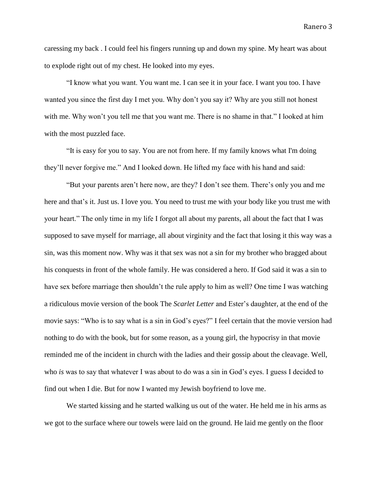caressing my back . I could feel his fingers running up and down my spine. My heart was about to explode right out of my chest. He looked into my eyes.

"I know what you want. You want me. I can see it in your face. I want you too. I have wanted you since the first day I met you. Why don't you say it? Why are you still not honest with me. Why won't you tell me that you want me. There is no shame in that." I looked at him with the most puzzled face.

"It is easy for you to say. You are not from here. If my family knows what I'm doing they'll never forgive me." And I looked down. He lifted my face with his hand and said:

"But your parents aren't here now, are they? I don't see them. There's only you and me here and that's it. Just us. I love you. You need to trust me with your body like you trust me with your heart." The only time in my life I forgot all about my parents, all about the fact that I was supposed to save myself for marriage, all about virginity and the fact that losing it this way was a sin, was this moment now. Why was it that sex was not a sin for my brother who bragged about his conquests in front of the whole family. He was considered a hero. If God said it was a sin to have sex before marriage then shouldn't the rule apply to him as well? One time I was watching a ridiculous movie version of the book The *Scarlet Letter* and Ester's daughter, at the end of the movie says: "Who is to say what is a sin in God's eyes?" I feel certain that the movie version had nothing to do with the book, but for some reason, as a young girl, the hypocrisy in that movie reminded me of the incident in church with the ladies and their gossip about the cleavage. Well, who *is* was to say that whatever I was about to do was a sin in God's eyes. I guess I decided to find out when I die. But for now I wanted my Jewish boyfriend to love me.

We started kissing and he started walking us out of the water. He held me in his arms as we got to the surface where our towels were laid on the ground. He laid me gently on the floor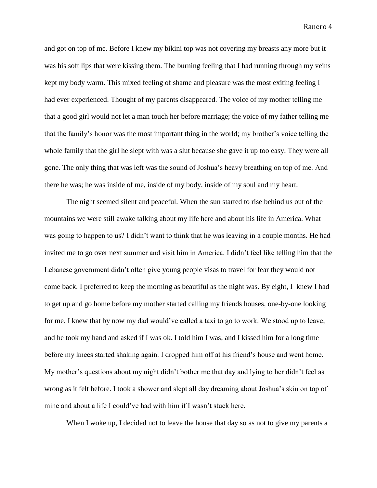and got on top of me. Before I knew my bikini top was not covering my breasts any more but it was his soft lips that were kissing them. The burning feeling that I had running through my veins kept my body warm. This mixed feeling of shame and pleasure was the most exiting feeling I had ever experienced. Thought of my parents disappeared. The voice of my mother telling me that a good girl would not let a man touch her before marriage; the voice of my father telling me that the family's honor was the most important thing in the world; my brother's voice telling the whole family that the girl he slept with was a slut because she gave it up too easy. They were all gone. The only thing that was left was the sound of Joshua's heavy breathing on top of me. And there he was; he was inside of me, inside of my body, inside of my soul and my heart.

The night seemed silent and peaceful. When the sun started to rise behind us out of the mountains we were still awake talking about my life here and about his life in America. What was going to happen to us? I didn't want to think that he was leaving in a couple months. He had invited me to go over next summer and visit him in America. I didn't feel like telling him that the Lebanese government didn't often give young people visas to travel for fear they would not come back. I preferred to keep the morning as beautiful as the night was. By eight, I knew I had to get up and go home before my mother started calling my friends houses, one-by-one looking for me. I knew that by now my dad would've called a taxi to go to work. We stood up to leave, and he took my hand and asked if I was ok. I told him I was, and I kissed him for a long time before my knees started shaking again. I dropped him off at his friend's house and went home. My mother's questions about my night didn't bother me that day and lying to her didn't feel as wrong as it felt before. I took a shower and slept all day dreaming about Joshua's skin on top of mine and about a life I could've had with him if I wasn't stuck here.

When I woke up, I decided not to leave the house that day so as not to give my parents a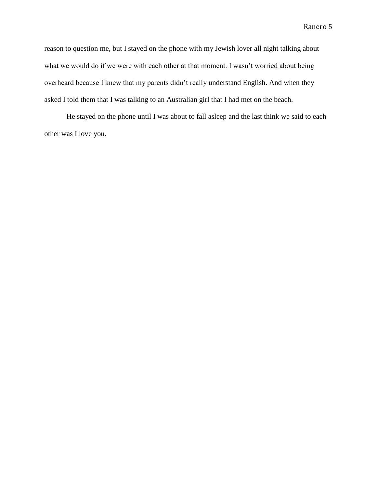reason to question me, but I stayed on the phone with my Jewish lover all night talking about what we would do if we were with each other at that moment. I wasn't worried about being overheard because I knew that my parents didn't really understand English. And when they asked I told them that I was talking to an Australian girl that I had met on the beach.

He stayed on the phone until I was about to fall asleep and the last think we said to each other was I love you.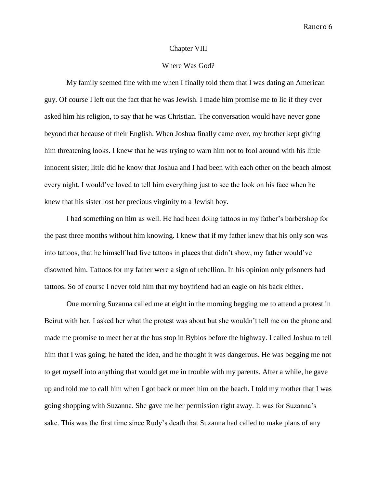#### Chapter VIII

## Where Was God?

My family seemed fine with me when I finally told them that I was dating an American guy. Of course I left out the fact that he was Jewish. I made him promise me to lie if they ever asked him his religion, to say that he was Christian. The conversation would have never gone beyond that because of their English. When Joshua finally came over, my brother kept giving him threatening looks. I knew that he was trying to warn him not to fool around with his little innocent sister; little did he know that Joshua and I had been with each other on the beach almost every night. I would've loved to tell him everything just to see the look on his face when he knew that his sister lost her precious virginity to a Jewish boy.

I had something on him as well. He had been doing tattoos in my father's barbershop for the past three months without him knowing. I knew that if my father knew that his only son was into tattoos, that he himself had five tattoos in places that didn't show, my father would've disowned him. Tattoos for my father were a sign of rebellion. In his opinion only prisoners had tattoos. So of course I never told him that my boyfriend had an eagle on his back either.

One morning Suzanna called me at eight in the morning begging me to attend a protest in Beirut with her. I asked her what the protest was about but she wouldn't tell me on the phone and made me promise to meet her at the bus stop in Byblos before the highway. I called Joshua to tell him that I was going; he hated the idea, and he thought it was dangerous. He was begging me not to get myself into anything that would get me in trouble with my parents. After a while, he gave up and told me to call him when I got back or meet him on the beach. I told my mother that I was going shopping with Suzanna. She gave me her permission right away. It was for Suzanna's sake. This was the first time since Rudy's death that Suzanna had called to make plans of any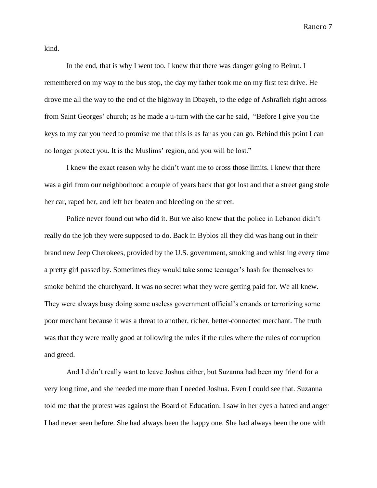kind.

In the end, that is why I went too. I knew that there was danger going to Beirut. I remembered on my way to the bus stop, the day my father took me on my first test drive. He drove me all the way to the end of the highway in Dbayeh, to the edge of Ashrafieh right across from Saint Georges' church; as he made a u-turn with the car he said, "Before I give you the keys to my car you need to promise me that this is as far as you can go. Behind this point I can no longer protect you. It is the Muslims' region, and you will be lost."

I knew the exact reason why he didn't want me to cross those limits. I knew that there was a girl from our neighborhood a couple of years back that got lost and that a street gang stole her car, raped her, and left her beaten and bleeding on the street.

Police never found out who did it. But we also knew that the police in Lebanon didn't really do the job they were supposed to do. Back in Byblos all they did was hang out in their brand new Jeep Cherokees, provided by the U.S. government, smoking and whistling every time a pretty girl passed by. Sometimes they would take some teenager's hash for themselves to smoke behind the churchyard. It was no secret what they were getting paid for. We all knew. They were always busy doing some useless government official's errands or terrorizing some poor merchant because it was a threat to another, richer, better-connected merchant. The truth was that they were really good at following the rules if the rules where the rules of corruption and greed.

And I didn't really want to leave Joshua either, but Suzanna had been my friend for a very long time, and she needed me more than I needed Joshua. Even I could see that. Suzanna told me that the protest was against the Board of Education. I saw in her eyes a hatred and anger I had never seen before. She had always been the happy one. She had always been the one with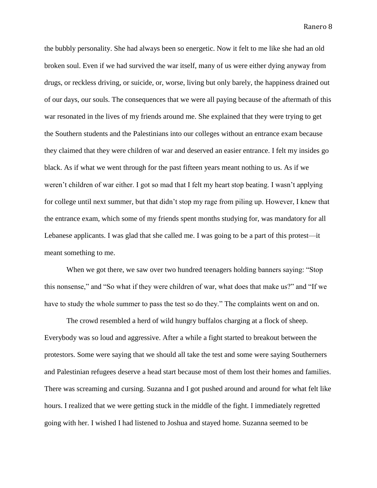the bubbly personality. She had always been so energetic. Now it felt to me like she had an old broken soul. Even if we had survived the war itself, many of us were either dying anyway from drugs, or reckless driving, or suicide, or, worse, living but only barely, the happiness drained out of our days, our souls. The consequences that we were all paying because of the aftermath of this war resonated in the lives of my friends around me. She explained that they were trying to get the Southern students and the Palestinians into our colleges without an entrance exam because they claimed that they were children of war and deserved an easier entrance. I felt my insides go black. As if what we went through for the past fifteen years meant nothing to us. As if we weren't children of war either. I got so mad that I felt my heart stop beating. I wasn't applying for college until next summer, but that didn't stop my rage from piling up. However, I knew that the entrance exam, which some of my friends spent months studying for, was mandatory for all Lebanese applicants. I was glad that she called me. I was going to be a part of this protest—it meant something to me.

When we got there, we saw over two hundred teenagers holding banners saying: "Stop this nonsense," and "So what if they were children of war, what does that make us?" and "If we have to study the whole summer to pass the test so do they." The complaints went on and on.

The crowd resembled a herd of wild hungry buffalos charging at a flock of sheep. Everybody was so loud and aggressive. After a while a fight started to breakout between the protestors. Some were saying that we should all take the test and some were saying Southerners and Palestinian refugees deserve a head start because most of them lost their homes and families. There was screaming and cursing. Suzanna and I got pushed around and around for what felt like hours. I realized that we were getting stuck in the middle of the fight. I immediately regretted going with her. I wished I had listened to Joshua and stayed home. Suzanna seemed to be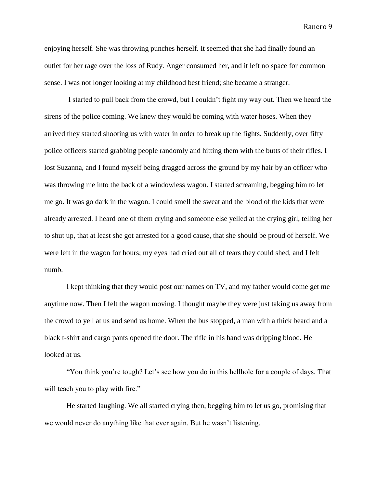enjoying herself. She was throwing punches herself. It seemed that she had finally found an outlet for her rage over the loss of Rudy. Anger consumed her, and it left no space for common sense. I was not longer looking at my childhood best friend; she became a stranger.

I started to pull back from the crowd, but I couldn't fight my way out. Then we heard the sirens of the police coming. We knew they would be coming with water hoses. When they arrived they started shooting us with water in order to break up the fights. Suddenly, over fifty police officers started grabbing people randomly and hitting them with the butts of their rifles. I lost Suzanna, and I found myself being dragged across the ground by my hair by an officer who was throwing me into the back of a windowless wagon. I started screaming, begging him to let me go. It was go dark in the wagon. I could smell the sweat and the blood of the kids that were already arrested. I heard one of them crying and someone else yelled at the crying girl, telling her to shut up, that at least she got arrested for a good cause, that she should be proud of herself. We were left in the wagon for hours; my eyes had cried out all of tears they could shed, and I felt numb.

I kept thinking that they would post our names on TV, and my father would come get me anytime now. Then I felt the wagon moving. I thought maybe they were just taking us away from the crowd to yell at us and send us home. When the bus stopped, a man with a thick beard and a black t-shirt and cargo pants opened the door. The rifle in his hand was dripping blood. He looked at us.

"You think you're tough? Let's see how you do in this hellhole for a couple of days. That will teach you to play with fire."

He started laughing. We all started crying then, begging him to let us go, promising that we would never do anything like that ever again. But he wasn't listening.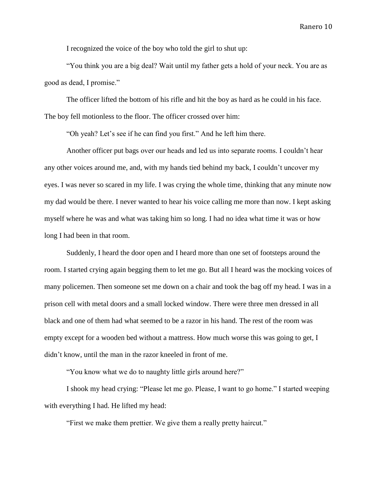I recognized the voice of the boy who told the girl to shut up:

"You think you are a big deal? Wait until my father gets a hold of your neck. You are as good as dead, I promise."

The officer lifted the bottom of his rifle and hit the boy as hard as he could in his face. The boy fell motionless to the floor. The officer crossed over him:

"Oh yeah? Let's see if he can find you first." And he left him there.

Another officer put bags over our heads and led us into separate rooms. I couldn't hear any other voices around me, and, with my hands tied behind my back, I couldn't uncover my eyes. I was never so scared in my life. I was crying the whole time, thinking that any minute now my dad would be there. I never wanted to hear his voice calling me more than now. I kept asking myself where he was and what was taking him so long. I had no idea what time it was or how long I had been in that room.

Suddenly, I heard the door open and I heard more than one set of footsteps around the room. I started crying again begging them to let me go. But all I heard was the mocking voices of many policemen. Then someone set me down on a chair and took the bag off my head. I was in a prison cell with metal doors and a small locked window. There were three men dressed in all black and one of them had what seemed to be a razor in his hand. The rest of the room was empty except for a wooden bed without a mattress. How much worse this was going to get, I didn't know, until the man in the razor kneeled in front of me.

"You know what we do to naughty little girls around here?"

I shook my head crying: "Please let me go. Please, I want to go home." I started weeping with everything I had. He lifted my head:

"First we make them prettier. We give them a really pretty haircut."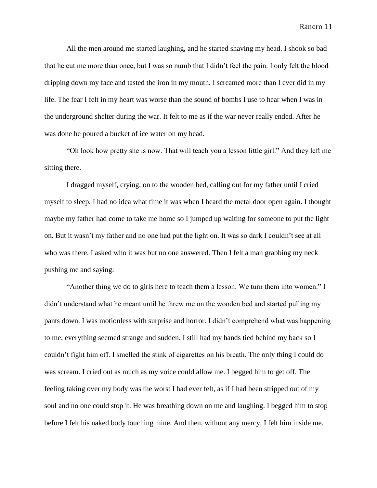All the men around me started laughing, and he started shaving my head. I shook so bad that he cut me more than once, but I was so numb that I didn't feel the pain. I only felt the blood dripping down my face and tasted the iron in my mouth. I screamed more than I ever did in my life. The fear I felt in my heart was worse than the sound of bombs I use to hear when I was in the underground shelter during the war. It felt to me as if the war never really ended. After he was done he poured a bucket of ice water on my head.

"Oh look how pretty she is now. That will teach you a lesson little girl." And they left me sitting there.

I dragged myself, crying, on to the wooden bed, calling out for my father until I cried myself to sleep. I had no idea what time it was when I heard the metal door open again. I thought maybe my father had come to take me home so I jumped up waiting for someone to put the light on. But it wasn't my father and no one had put the light on. It was so dark I couldn't see at all who was there. I asked who it was but no one answered. Then I felt a man grabbing my neck pushing me and saying:

"Another thing we do to girls here to teach them a lesson. We turn them into women." I didn't understand what he meant until he threw me on the wooden bed and started pulling my pants down. I was motionless with surprise and horror. I didn't comprehend what was happening to me; everything seemed strange and sudden. I still had my hands tied behind my back so I couldn't fight him off. I smelled the stink of cigarettes on his breath. The only thing I could do was scream. I cried out as much as my voice could allow me. I begged him to get off. The feeling taking over my body was the worst I had ever felt, as if I had been stripped out of my soul and no one could stop it. He was breathing down on me and laughing. I begged him to stop before I felt his naked body touching mine. And then, without any mercy, I felt him inside me.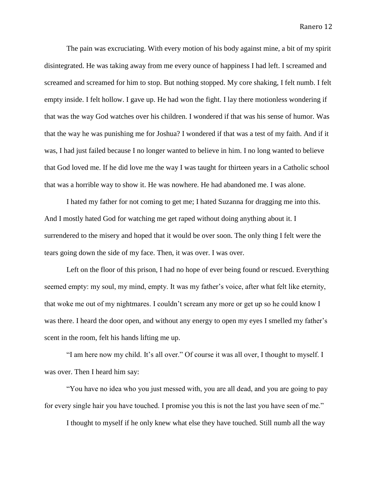The pain was excruciating. With every motion of his body against mine, a bit of my spirit disintegrated. He was taking away from me every ounce of happiness I had left. I screamed and screamed and screamed for him to stop. But nothing stopped. My core shaking, I felt numb. I felt empty inside. I felt hollow. I gave up. He had won the fight. I lay there motionless wondering if that was the way God watches over his children. I wondered if that was his sense of humor. Was that the way he was punishing me for Joshua? I wondered if that was a test of my faith. And if it was, I had just failed because I no longer wanted to believe in him. I no long wanted to believe that God loved me. If he did love me the way I was taught for thirteen years in a Catholic school that was a horrible way to show it. He was nowhere. He had abandoned me. I was alone.

I hated my father for not coming to get me; I hated Suzanna for dragging me into this. And I mostly hated God for watching me get raped without doing anything about it. I surrendered to the misery and hoped that it would be over soon. The only thing I felt were the tears going down the side of my face. Then, it was over. I was over.

Left on the floor of this prison, I had no hope of ever being found or rescued. Everything seemed empty: my soul, my mind, empty. It was my father's voice, after what felt like eternity, that woke me out of my nightmares. I couldn't scream any more or get up so he could know I was there. I heard the door open, and without any energy to open my eyes I smelled my father's scent in the room, felt his hands lifting me up.

"I am here now my child. It's all over." Of course it was all over, I thought to myself. I was over. Then I heard him say:

"You have no idea who you just messed with, you are all dead, and you are going to pay for every single hair you have touched. I promise you this is not the last you have seen of me."

I thought to myself if he only knew what else they have touched. Still numb all the way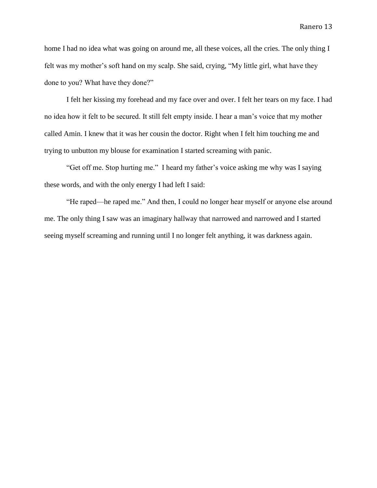home I had no idea what was going on around me, all these voices, all the cries. The only thing I felt was my mother's soft hand on my scalp. She said, crying, "My little girl, what have they done to you? What have they done?"

I felt her kissing my forehead and my face over and over. I felt her tears on my face. I had no idea how it felt to be secured. It still felt empty inside. I hear a man's voice that my mother called Amin. I knew that it was her cousin the doctor. Right when I felt him touching me and trying to unbutton my blouse for examination I started screaming with panic.

"Get off me. Stop hurting me." I heard my father's voice asking me why was I saying these words, and with the only energy I had left I said:

"He raped—he raped me." And then, I could no longer hear myself or anyone else around me. The only thing I saw was an imaginary hallway that narrowed and narrowed and I started seeing myself screaming and running until I no longer felt anything, it was darkness again.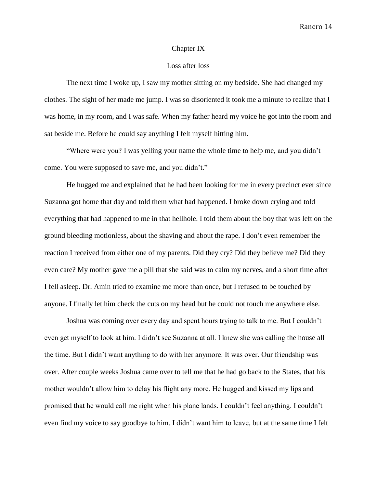#### Chapter IX

#### Loss after loss

The next time I woke up, I saw my mother sitting on my bedside. She had changed my clothes. The sight of her made me jump. I was so disoriented it took me a minute to realize that I was home, in my room, and I was safe. When my father heard my voice he got into the room and sat beside me. Before he could say anything I felt myself hitting him.

"Where were you? I was yelling your name the whole time to help me, and you didn't come. You were supposed to save me, and you didn't."

He hugged me and explained that he had been looking for me in every precinct ever since Suzanna got home that day and told them what had happened. I broke down crying and told everything that had happened to me in that hellhole. I told them about the boy that was left on the ground bleeding motionless, about the shaving and about the rape. I don't even remember the reaction I received from either one of my parents. Did they cry? Did they believe me? Did they even care? My mother gave me a pill that she said was to calm my nerves, and a short time after I fell asleep. Dr. Amin tried to examine me more than once, but I refused to be touched by anyone. I finally let him check the cuts on my head but he could not touch me anywhere else.

Joshua was coming over every day and spent hours trying to talk to me. But I couldn't even get myself to look at him. I didn't see Suzanna at all. I knew she was calling the house all the time. But I didn't want anything to do with her anymore. It was over. Our friendship was over. After couple weeks Joshua came over to tell me that he had go back to the States, that his mother wouldn't allow him to delay his flight any more. He hugged and kissed my lips and promised that he would call me right when his plane lands. I couldn't feel anything. I couldn't even find my voice to say goodbye to him. I didn't want him to leave, but at the same time I felt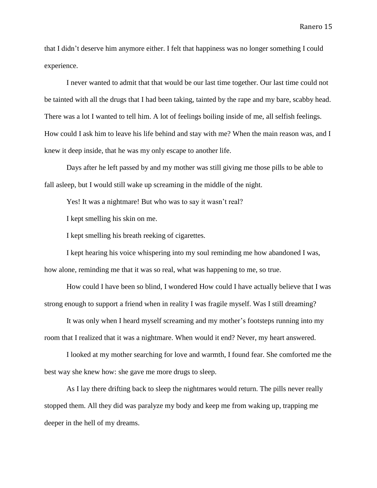that I didn't deserve him anymore either. I felt that happiness was no longer something I could experience.

I never wanted to admit that that would be our last time together. Our last time could not be tainted with all the drugs that I had been taking, tainted by the rape and my bare, scabby head. There was a lot I wanted to tell him. A lot of feelings boiling inside of me, all selfish feelings. How could I ask him to leave his life behind and stay with me? When the main reason was, and I knew it deep inside, that he was my only escape to another life.

Days after he left passed by and my mother was still giving me those pills to be able to fall asleep, but I would still wake up screaming in the middle of the night.

Yes! It was a nightmare! But who was to say it wasn't real?

I kept smelling his skin on me.

I kept smelling his breath reeking of cigarettes.

I kept hearing his voice whispering into my soul reminding me how abandoned I was, how alone, reminding me that it was so real, what was happening to me, so true.

How could I have been so blind, I wondered How could I have actually believe that I was strong enough to support a friend when in reality I was fragile myself. Was I still dreaming?

It was only when I heard myself screaming and my mother's footsteps running into my room that I realized that it was a nightmare. When would it end? Never, my heart answered.

I looked at my mother searching for love and warmth, I found fear. She comforted me the best way she knew how: she gave me more drugs to sleep.

As I lay there drifting back to sleep the nightmares would return. The pills never really stopped them. All they did was paralyze my body and keep me from waking up, trapping me deeper in the hell of my dreams.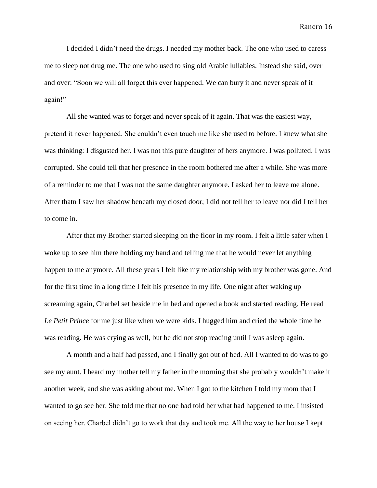I decided I didn't need the drugs. I needed my mother back. The one who used to caress me to sleep not drug me. The one who used to sing old Arabic lullabies. Instead she said, over and over: "Soon we will all forget this ever happened. We can bury it and never speak of it again!"

All she wanted was to forget and never speak of it again. That was the easiest way, pretend it never happened. She couldn't even touch me like she used to before. I knew what she was thinking: I disgusted her. I was not this pure daughter of hers anymore. I was polluted. I was corrupted. She could tell that her presence in the room bothered me after a while. She was more of a reminder to me that I was not the same daughter anymore. I asked her to leave me alone. After thatn I saw her shadow beneath my closed door; I did not tell her to leave nor did I tell her to come in.

After that my Brother started sleeping on the floor in my room. I felt a little safer when I woke up to see him there holding my hand and telling me that he would never let anything happen to me anymore. All these years I felt like my relationship with my brother was gone. And for the first time in a long time I felt his presence in my life. One night after waking up screaming again, Charbel set beside me in bed and opened a book and started reading. He read *Le Petit Prince* for me just like when we were kids. I hugged him and cried the whole time he was reading. He was crying as well, but he did not stop reading until I was asleep again.

A month and a half had passed, and I finally got out of bed. All I wanted to do was to go see my aunt. I heard my mother tell my father in the morning that she probably wouldn't make it another week, and she was asking about me. When I got to the kitchen I told my mom that I wanted to go see her. She told me that no one had told her what had happened to me. I insisted on seeing her. Charbel didn't go to work that day and took me. All the way to her house I kept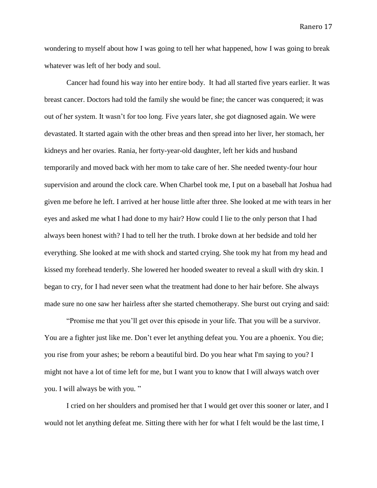wondering to myself about how I was going to tell her what happened, how I was going to break whatever was left of her body and soul.

Cancer had found his way into her entire body. It had all started five years earlier. It was breast cancer. Doctors had told the family she would be fine; the cancer was conquered; it was out of her system. It wasn't for too long. Five years later, she got diagnosed again. We were devastated. It started again with the other breas and then spread into her liver, her stomach, her kidneys and her ovaries. Rania, her forty-year-old daughter, left her kids and husband temporarily and moved back with her mom to take care of her. She needed twenty-four hour supervision and around the clock care. When Charbel took me, I put on a baseball hat Joshua had given me before he left. I arrived at her house little after three. She looked at me with tears in her eyes and asked me what I had done to my hair? How could I lie to the only person that I had always been honest with? I had to tell her the truth. I broke down at her bedside and told her everything. She looked at me with shock and started crying. She took my hat from my head and kissed my forehead tenderly. She lowered her hooded sweater to reveal a skull with dry skin. I began to cry, for I had never seen what the treatment had done to her hair before. She always made sure no one saw her hairless after she started chemotherapy. She burst out crying and said:

"Promise me that you'll get over this episode in your life. That you will be a survivor. You are a fighter just like me. Don't ever let anything defeat you. You are a phoenix. You die; you rise from your ashes; be reborn a beautiful bird. Do you hear what I'm saying to you? I might not have a lot of time left for me, but I want you to know that I will always watch over you. I will always be with you. "

I cried on her shoulders and promised her that I would get over this sooner or later, and I would not let anything defeat me. Sitting there with her for what I felt would be the last time, I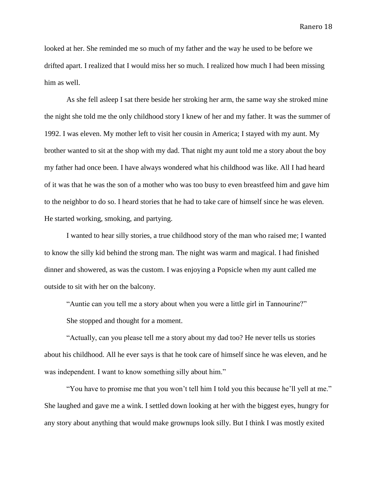looked at her. She reminded me so much of my father and the way he used to be before we drifted apart. I realized that I would miss her so much. I realized how much I had been missing him as well.

As she fell asleep I sat there beside her stroking her arm, the same way she stroked mine the night she told me the only childhood story I knew of her and my father. It was the summer of 1992. I was eleven. My mother left to visit her cousin in America; I stayed with my aunt. My brother wanted to sit at the shop with my dad. That night my aunt told me a story about the boy my father had once been. I have always wondered what his childhood was like. All I had heard of it was that he was the son of a mother who was too busy to even breastfeed him and gave him to the neighbor to do so. I heard stories that he had to take care of himself since he was eleven. He started working, smoking, and partying.

I wanted to hear silly stories, a true childhood story of the man who raised me; I wanted to know the silly kid behind the strong man. The night was warm and magical. I had finished dinner and showered, as was the custom. I was enjoying a Popsicle when my aunt called me outside to sit with her on the balcony.

"Auntie can you tell me a story about when you were a little girl in Tannourine?"

She stopped and thought for a moment.

"Actually, can you please tell me a story about my dad too? He never tells us stories about his childhood. All he ever says is that he took care of himself since he was eleven, and he was independent. I want to know something silly about him."

"You have to promise me that you won't tell him I told you this because he'll yell at me." She laughed and gave me a wink. I settled down looking at her with the biggest eyes, hungry for any story about anything that would make grownups look silly. But I think I was mostly exited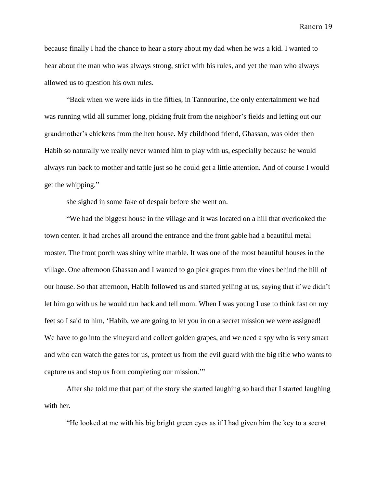because finally I had the chance to hear a story about my dad when he was a kid. I wanted to hear about the man who was always strong, strict with his rules, and yet the man who always allowed us to question his own rules.

"Back when we were kids in the fifties, in Tannourine, the only entertainment we had was running wild all summer long, picking fruit from the neighbor's fields and letting out our grandmother's chickens from the hen house. My childhood friend, Ghassan, was older then Habib so naturally we really never wanted him to play with us, especially because he would always run back to mother and tattle just so he could get a little attention. And of course I would get the whipping."

she sighed in some fake of despair before she went on.

"We had the biggest house in the village and it was located on a hill that overlooked the town center. It had arches all around the entrance and the front gable had a beautiful metal rooster. The front porch was shiny white marble. It was one of the most beautiful houses in the village. One afternoon Ghassan and I wanted to go pick grapes from the vines behind the hill of our house. So that afternoon, Habib followed us and started yelling at us, saying that if we didn't let him go with us he would run back and tell mom. When I was young I use to think fast on my feet so I said to him, 'Habib, we are going to let you in on a secret mission we were assigned! We have to go into the vineyard and collect golden grapes, and we need a spy who is very smart and who can watch the gates for us, protect us from the evil guard with the big rifle who wants to capture us and stop us from completing our mission.'"

After she told me that part of the story she started laughing so hard that I started laughing with her.

"He looked at me with his big bright green eyes as if I had given him the key to a secret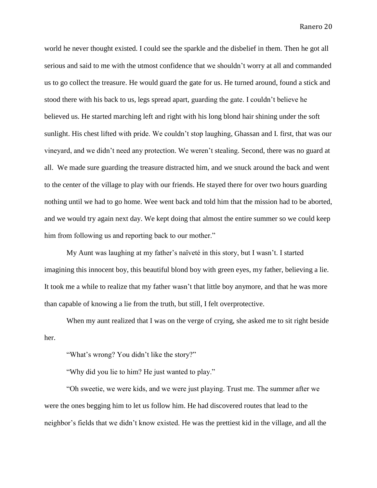world he never thought existed. I could see the sparkle and the disbelief in them. Then he got all serious and said to me with the utmost confidence that we shouldn't worry at all and commanded us to go collect the treasure. He would guard the gate for us. He turned around, found a stick and stood there with his back to us, legs spread apart, guarding the gate. I couldn't believe he believed us. He started marching left and right with his long blond hair shining under the soft sunlight. His chest lifted with pride. We couldn't stop laughing, Ghassan and I. first, that was our vineyard, and we didn't need any protection. We weren't stealing. Second, there was no guard at all. We made sure guarding the treasure distracted him, and we snuck around the back and went to the center of the village to play with our friends. He stayed there for over two hours guarding nothing until we had to go home. Wee went back and told him that the mission had to be aborted, and we would try again next day. We kept doing that almost the entire summer so we could keep him from following us and reporting back to our mother."

My Aunt was laughing at my father's naïveté in this story, but I wasn't. I started imagining this innocent boy, this beautiful blond boy with green eyes, my father, believing a lie. It took me a while to realize that my father wasn't that little boy anymore, and that he was more than capable of knowing a lie from the truth, but still, I felt overprotective.

When my aunt realized that I was on the verge of crying, she asked me to sit right beside her.

"What's wrong? You didn't like the story?"

"Why did you lie to him? He just wanted to play."

"Oh sweetie, we were kids, and we were just playing. Trust me. The summer after we were the ones begging him to let us follow him. He had discovered routes that lead to the neighbor's fields that we didn't know existed. He was the prettiest kid in the village, and all the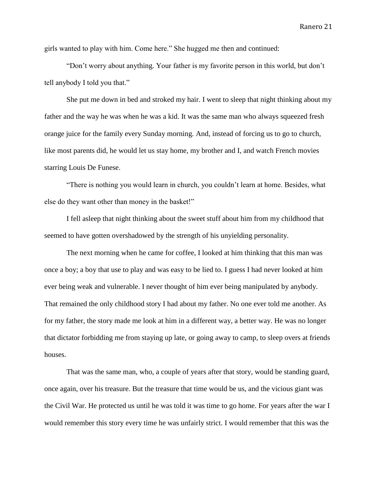girls wanted to play with him. Come here." She hugged me then and continued:

"Don't worry about anything. Your father is my favorite person in this world, but don't tell anybody I told you that."

She put me down in bed and stroked my hair. I went to sleep that night thinking about my father and the way he was when he was a kid. It was the same man who always squeezed fresh orange juice for the family every Sunday morning. And, instead of forcing us to go to church, like most parents did, he would let us stay home, my brother and I, and watch French movies starring Louis De Funese.

"There is nothing you would learn in church, you couldn't learn at home. Besides, what else do they want other than money in the basket!"

I fell asleep that night thinking about the sweet stuff about him from my childhood that seemed to have gotten overshadowed by the strength of his unyielding personality.

The next morning when he came for coffee, I looked at him thinking that this man was once a boy; a boy that use to play and was easy to be lied to. I guess I had never looked at him ever being weak and vulnerable. I never thought of him ever being manipulated by anybody. That remained the only childhood story I had about my father. No one ever told me another. As for my father, the story made me look at him in a different way, a better way. He was no longer that dictator forbidding me from staying up late, or going away to camp, to sleep overs at friends houses.

That was the same man, who, a couple of years after that story, would be standing guard, once again, over his treasure. But the treasure that time would be us, and the vicious giant was the Civil War. He protected us until he was told it was time to go home. For years after the war I would remember this story every time he was unfairly strict. I would remember that this was the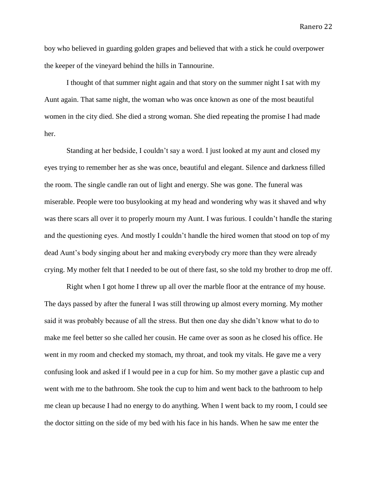boy who believed in guarding golden grapes and believed that with a stick he could overpower the keeper of the vineyard behind the hills in Tannourine.

I thought of that summer night again and that story on the summer night I sat with my Aunt again. That same night, the woman who was once known as one of the most beautiful women in the city died. She died a strong woman. She died repeating the promise I had made her.

Standing at her bedside, I couldn't say a word. I just looked at my aunt and closed my eyes trying to remember her as she was once, beautiful and elegant. Silence and darkness filled the room. The single candle ran out of light and energy. She was gone. The funeral was miserable. People were too busylooking at my head and wondering why was it shaved and why was there scars all over it to properly mourn my Aunt. I was furious. I couldn't handle the staring and the questioning eyes. And mostly I couldn't handle the hired women that stood on top of my dead Aunt's body singing about her and making everybody cry more than they were already crying. My mother felt that I needed to be out of there fast, so she told my brother to drop me off.

Right when I got home I threw up all over the marble floor at the entrance of my house. The days passed by after the funeral I was still throwing up almost every morning. My mother said it was probably because of all the stress. But then one day she didn't know what to do to make me feel better so she called her cousin. He came over as soon as he closed his office. He went in my room and checked my stomach, my throat, and took my vitals. He gave me a very confusing look and asked if I would pee in a cup for him. So my mother gave a plastic cup and went with me to the bathroom. She took the cup to him and went back to the bathroom to help me clean up because I had no energy to do anything. When I went back to my room, I could see the doctor sitting on the side of my bed with his face in his hands. When he saw me enter the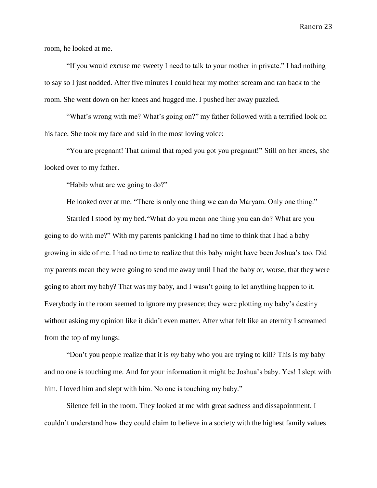room, he looked at me.

"If you would excuse me sweety I need to talk to your mother in private." I had nothing to say so I just nodded. After five minutes I could hear my mother scream and ran back to the room. She went down on her knees and hugged me. I pushed her away puzzled.

"What's wrong with me? What's going on?" my father followed with a terrified look on his face. She took my face and said in the most loving voice:

"You are pregnant! That animal that raped you got you pregnant!" Still on her knees, she looked over to my father.

"Habib what are we going to do?"

He looked over at me. "There is only one thing we can do Maryam. Only one thing."

Startled I stood by my bed."What do you mean one thing you can do? What are you going to do with me?" With my parents panicking I had no time to think that I had a baby growing in side of me. I had no time to realize that this baby might have been Joshua's too. Did my parents mean they were going to send me away until I had the baby or, worse, that they were going to abort my baby? That was my baby, and I wasn't going to let anything happen to it. Everybody in the room seemed to ignore my presence; they were plotting my baby's destiny without asking my opinion like it didn't even matter. After what felt like an eternity I screamed from the top of my lungs:

"Don't you people realize that it is *my* baby who you are trying to kill? This is my baby and no one is touching me. And for your information it might be Joshua's baby. Yes! I slept with him. I loved him and slept with him. No one is touching my baby."

Silence fell in the room. They looked at me with great sadness and dissapointment. I couldn't understand how they could claim to believe in a society with the highest family values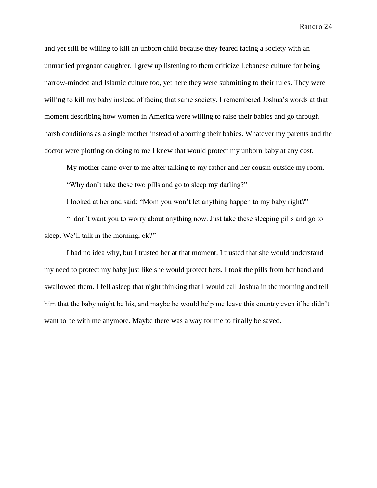and yet still be willing to kill an unborn child because they feared facing a society with an unmarried pregnant daughter. I grew up listening to them criticize Lebanese culture for being narrow-minded and Islamic culture too, yet here they were submitting to their rules. They were willing to kill my baby instead of facing that same society. I remembered Joshua's words at that moment describing how women in America were willing to raise their babies and go through harsh conditions as a single mother instead of aborting their babies. Whatever my parents and the doctor were plotting on doing to me I knew that would protect my unborn baby at any cost.

My mother came over to me after talking to my father and her cousin outside my room.

"Why don't take these two pills and go to sleep my darling?"

I looked at her and said: "Mom you won't let anything happen to my baby right?"

"I don't want you to worry about anything now. Just take these sleeping pills and go to sleep. We'll talk in the morning, ok?"

I had no idea why, but I trusted her at that moment. I trusted that she would understand my need to protect my baby just like she would protect hers. I took the pills from her hand and swallowed them. I fell asleep that night thinking that I would call Joshua in the morning and tell him that the baby might be his, and maybe he would help me leave this country even if he didn't want to be with me anymore. Maybe there was a way for me to finally be saved.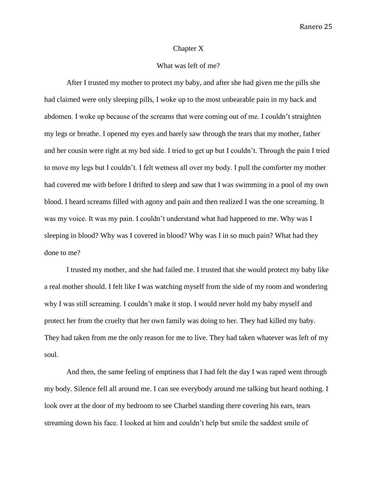#### Chapter X

# What was left of me?

After I trusted my mother to protect my baby, and after she had given me the pills she had claimed were only sleeping pills, I woke up to the most unbearable pain in my back and abdomen. I woke up because of the screams that were coming out of me. I couldn't straighten my legs or breathe. I opened my eyes and barely saw through the tears that my mother, father and her cousin were right at my bed side. I tried to get up but I couldn't. Through the pain I tried to move my legs but I couldn't. I felt wetness all over my body. I pull the comforter my mother had covered me with before I drifted to sleep and saw that I was swimming in a pool of my own blood. I heard screams filled with agony and pain and then realized I was the one screaming. It was my voice. It was my pain. I couldn't understand what had happened to me. Why was I sleeping in blood? Why was I covered in blood? Why was I in so much pain? What had they done to me?

I trusted my mother, and she had failed me. I trusted that she would protect my baby like a real mother should. I felt like I was watching myself from the side of my room and wondering why I was still screaming. I couldn't make it stop. I would never hold my baby myself and protect her from the cruelty that her own family was doing to her. They had killed my baby. They had taken from me the only reason for me to live. They had taken whatever was left of my soul.

And then, the same feeling of emptiness that I had felt the day I was raped went through my body. Silence fell all around me. I can see everybody around me talking but heard nothing. I look over at the door of my bedroom to see Charbel standing there covering his ears, tears streaming down his face. I looked at him and couldn't help but smile the saddest smile of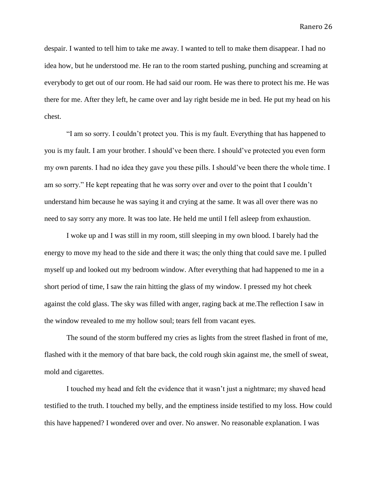despair. I wanted to tell him to take me away. I wanted to tell to make them disappear. I had no idea how, but he understood me. He ran to the room started pushing, punching and screaming at everybody to get out of our room. He had said our room. He was there to protect his me. He was there for me. After they left, he came over and lay right beside me in bed. He put my head on his chest.

"I am so sorry. I couldn't protect you. This is my fault. Everything that has happened to you is my fault. I am your brother. I should've been there. I should've protected you even form my own parents. I had no idea they gave you these pills. I should've been there the whole time. I am so sorry." He kept repeating that he was sorry over and over to the point that I couldn't understand him because he was saying it and crying at the same. It was all over there was no need to say sorry any more. It was too late. He held me until I fell asleep from exhaustion.

I woke up and I was still in my room, still sleeping in my own blood. I barely had the energy to move my head to the side and there it was; the only thing that could save me. I pulled myself up and looked out my bedroom window. After everything that had happened to me in a short period of time, I saw the rain hitting the glass of my window. I pressed my hot cheek against the cold glass. The sky was filled with anger, raging back at me.The reflection I saw in the window revealed to me my hollow soul; tears fell from vacant eyes.

The sound of the storm buffered my cries as lights from the street flashed in front of me, flashed with it the memory of that bare back, the cold rough skin against me, the smell of sweat, mold and cigarettes.

I touched my head and felt the evidence that it wasn't just a nightmare; my shaved head testified to the truth. I touched my belly, and the emptiness inside testified to my loss. How could this have happened? I wondered over and over. No answer. No reasonable explanation. I was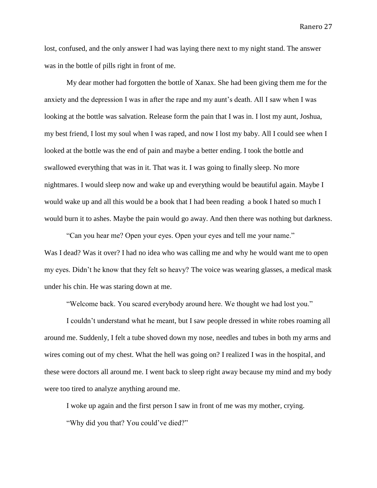lost, confused, and the only answer I had was laying there next to my night stand. The answer was in the bottle of pills right in front of me.

My dear mother had forgotten the bottle of Xanax. She had been giving them me for the anxiety and the depression I was in after the rape and my aunt's death. All I saw when I was looking at the bottle was salvation. Release form the pain that I was in. I lost my aunt, Joshua, my best friend, I lost my soul when I was raped, and now I lost my baby. All I could see when I looked at the bottle was the end of pain and maybe a better ending. I took the bottle and swallowed everything that was in it. That was it. I was going to finally sleep. No more nightmares. I would sleep now and wake up and everything would be beautiful again. Maybe I would wake up and all this would be a book that I had been reading a book I hated so much I would burn it to ashes. Maybe the pain would go away. And then there was nothing but darkness.

"Can you hear me? Open your eyes. Open your eyes and tell me your name." Was I dead? Was it over? I had no idea who was calling me and why he would want me to open my eyes. Didn't he know that they felt so heavy? The voice was wearing glasses, a medical mask under his chin. He was staring down at me.

"Welcome back. You scared everybody around here. We thought we had lost you."

I couldn't understand what he meant, but I saw people dressed in white robes roaming all around me. Suddenly, I felt a tube shoved down my nose, needles and tubes in both my arms and wires coming out of my chest. What the hell was going on? I realized I was in the hospital, and these were doctors all around me. I went back to sleep right away because my mind and my body were too tired to analyze anything around me.

I woke up again and the first person I saw in front of me was my mother, crying.

"Why did you that? You could've died?"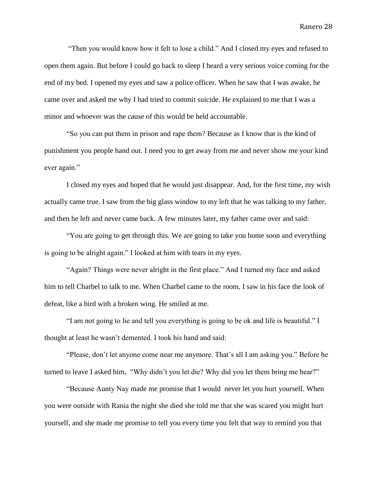"Then you would know how it felt to lose a child." And I closed my eyes and refused to open them again. But before I could go back to sleep I heard a very serious voice coming for the end of my bed. I opened my eyes and saw a police officer. When he saw that I was awake, he came over and asked me why I had tried to commit suicide. He explained to me that I was a minor and whoever was the cause of this would be held accountable.

"So you can put them in prison and rape them? Because as I know that is the kind of punishment you people hand out. I need you to get away from me and never show me your kind ever again."

I closed my eyes and hoped that he would just disappear. And, for the first time, my wish actually came true. I saw from the big glass window to my left that he was talking to my father, and then he left and never came back. A few minutes later, my father came over and said:

"You are going to get through this. We are going to take you home soon and everything is going to be alright again." I looked at him with tears in my eyes.

"Again? Things were never alright in the first place." And I turned my face and asked him to tell Charbel to talk to me. When Charbel came to the room, I saw in his face the look of defeat, like a bird with a broken wing. He smiled at me.

"I am not going to lie and tell you everything is going to be ok and life is beautiful." I thought at least he wasn't demented. I took his hand and said:

"Please, don't let anyone come near me anymore. That's all I am asking you." Before he turned to leave I asked him, "Why didn't you let die? Why did you let them bring me hear?"

"Because Aunty Nay made me promise that I would never let you hurt yourself. When you were outside with Rania the night she died she told me that she was scared you might hurt yourself, and she made me promise to tell you every time you felt that way to remind you that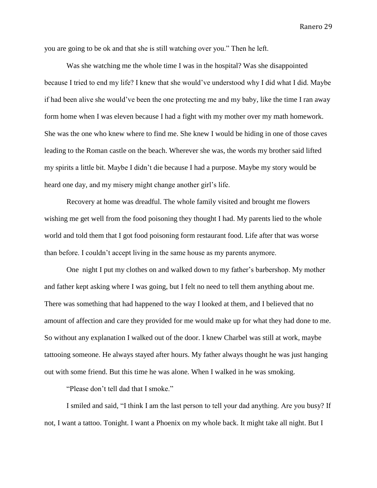you are going to be ok and that she is still watching over you." Then he left.

Was she watching me the whole time I was in the hospital? Was she disappointed because I tried to end my life? I knew that she would've understood why I did what I did. Maybe if had been alive she would've been the one protecting me and my baby, like the time I ran away form home when I was eleven because I had a fight with my mother over my math homework. She was the one who knew where to find me. She knew I would be hiding in one of those caves leading to the Roman castle on the beach. Wherever she was, the words my brother said lifted my spirits a little bit. Maybe I didn't die because I had a purpose. Maybe my story would be heard one day, and my misery might change another girl's life.

Recovery at home was dreadful. The whole family visited and brought me flowers wishing me get well from the food poisoning they thought I had. My parents lied to the whole world and told them that I got food poisoning form restaurant food. Life after that was worse than before. I couldn't accept living in the same house as my parents anymore.

One night I put my clothes on and walked down to my father's barbershop. My mother and father kept asking where I was going, but I felt no need to tell them anything about me. There was something that had happened to the way I looked at them, and I believed that no amount of affection and care they provided for me would make up for what they had done to me. So without any explanation I walked out of the door. I knew Charbel was still at work, maybe tattooing someone. He always stayed after hours. My father always thought he was just hanging out with some friend. But this time he was alone. When I walked in he was smoking.

"Please don't tell dad that I smoke."

I smiled and said, "I think I am the last person to tell your dad anything. Are you busy? If not, I want a tattoo. Tonight. I want a Phoenix on my whole back. It might take all night. But I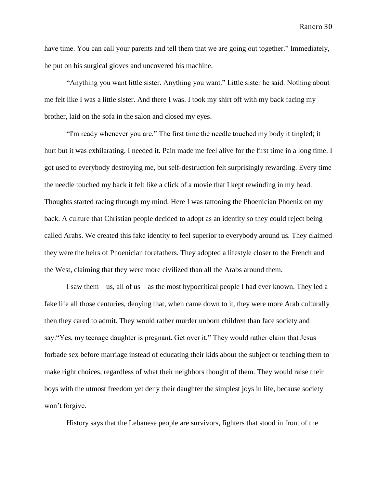have time. You can call your parents and tell them that we are going out together." Immediately, he put on his surgical gloves and uncovered his machine.

"Anything you want little sister. Anything you want." Little sister he said. Nothing about me felt like I was a little sister. And there I was. I took my shirt off with my back facing my brother, laid on the sofa in the salon and closed my eyes.

"I'm ready whenever you are." The first time the needle touched my body it tingled; it hurt but it was exhilarating. I needed it. Pain made me feel alive for the first time in a long time. I got used to everybody destroying me, but self-destruction felt surprisingly rewarding. Every time the needle touched my back it felt like a click of a movie that I kept rewinding in my head. Thoughts started racing through my mind. Here I was tattooing the Phoenician Phoenix on my back. A culture that Christian people decided to adopt as an identity so they could reject being called Arabs. We created this fake identity to feel superior to everybody around us. They claimed they were the heirs of Phoenician forefathers. They adopted a lifestyle closer to the French and the West, claiming that they were more civilized than all the Arabs around them.

I saw them—us, all of us—as the most hypocritical people I had ever known. They led a fake life all those centuries, denying that, when came down to it, they were more Arab culturally then they cared to admit. They would rather murder unborn children than face society and say:"Yes, my teenage daughter is pregnant. Get over it." They would rather claim that Jesus forbade sex before marriage instead of educating their kids about the subject or teaching them to make right choices, regardless of what their neighbors thought of them. They would raise their boys with the utmost freedom yet deny their daughter the simplest joys in life, because society won't forgive.

History says that the Lebanese people are survivors, fighters that stood in front of the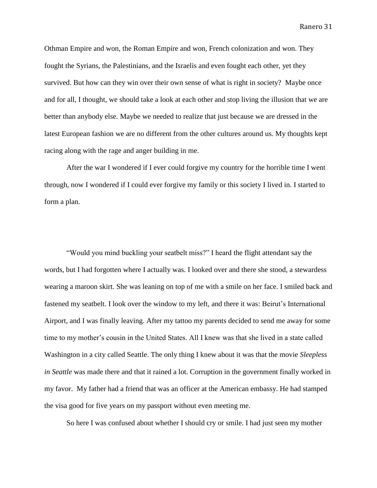Othman Empire and won, the Roman Empire and won, French colonization and won. They fought the Syrians, the Palestinians, and the Israelis and even fought each other, yet they survived. But how can they win over their own sense of what is right in society? Maybe once and for all, I thought, we should take a look at each other and stop living the illusion that we are better than anybody else. Maybe we needed to realize that just because we are dressed in the latest European fashion we are no different from the other cultures around us. My thoughts kept racing along with the rage and anger building in me.

After the war I wondered if I ever could forgive my country for the horrible time I went through, now I wondered if I could ever forgive my family or this society I lived in. I started to form a plan.

"Would you mind buckling your seatbelt miss?" I heard the flight attendant say the words, but I had forgotten where I actually was. I looked over and there she stood, a stewardess wearing a maroon skirt. She was leaning on top of me with a smile on her face. I smiled back and fastened my seatbelt. I look over the window to my left, and there it was: Beirut's International Airport, and I was finally leaving. After my tattoo my parents decided to send me away for some time to my mother's cousin in the United States. All I knew was that she lived in a state called Washington in a city called Seattle. The only thing I knew about it was that the movie *Sleepless in Seattle* was made there and that it rained a lot. Corruption in the government finally worked in my favor. My father had a friend that was an officer at the American embassy. He had stamped the visa good for five years on my passport without even meeting me.

So here I was confused about whether I should cry or smile. I had just seen my mother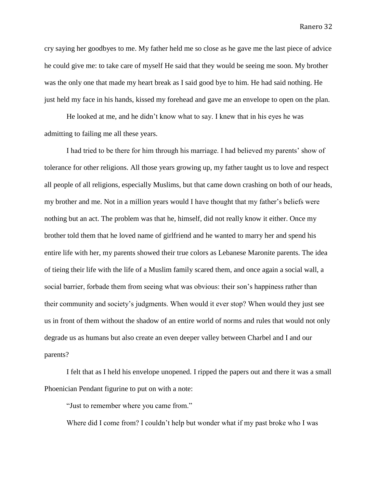cry saying her goodbyes to me. My father held me so close as he gave me the last piece of advice he could give me: to take care of myself He said that they would be seeing me soon. My brother was the only one that made my heart break as I said good bye to him. He had said nothing. He just held my face in his hands, kissed my forehead and gave me an envelope to open on the plan.

He looked at me, and he didn't know what to say. I knew that in his eyes he was admitting to failing me all these years.

I had tried to be there for him through his marriage. I had believed my parents' show of tolerance for other religions. All those years growing up, my father taught us to love and respect all people of all religions, especially Muslims, but that came down crashing on both of our heads, my brother and me. Not in a million years would I have thought that my father's beliefs were nothing but an act. The problem was that he, himself, did not really know it either. Once my brother told them that he loved name of girlfriend and he wanted to marry her and spend his entire life with her, my parents showed their true colors as Lebanese Maronite parents. The idea of tieing their life with the life of a Muslim family scared them, and once again a social wall, a social barrier, forbade them from seeing what was obvious: their son's happiness rather than their community and society's judgments. When would it ever stop? When would they just see us in front of them without the shadow of an entire world of norms and rules that would not only degrade us as humans but also create an even deeper valley between Charbel and I and our parents?

I felt that as I held his envelope unopened. I ripped the papers out and there it was a small Phoenician Pendant figurine to put on with a note:

"Just to remember where you came from."

Where did I come from? I couldn't help but wonder what if my past broke who I was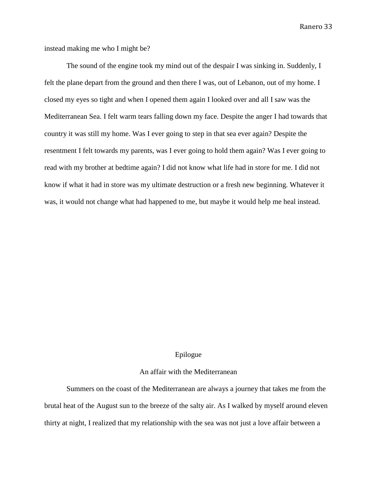instead making me who I might be?

The sound of the engine took my mind out of the despair I was sinking in. Suddenly, I felt the plane depart from the ground and then there I was, out of Lebanon, out of my home. I closed my eyes so tight and when I opened them again I looked over and all I saw was the Mediterranean Sea. I felt warm tears falling down my face. Despite the anger I had towards that country it was still my home. Was I ever going to step in that sea ever again? Despite the resentment I felt towards my parents, was I ever going to hold them again? Was I ever going to read with my brother at bedtime again? I did not know what life had in store for me. I did not know if what it had in store was my ultimate destruction or a fresh new beginning. Whatever it was, it would not change what had happened to me, but maybe it would help me heal instead.

#### Epilogue

#### An affair with the Mediterranean

Summers on the coast of the Mediterranean are always a journey that takes me from the brutal heat of the August sun to the breeze of the salty air. As I walked by myself around eleven thirty at night, I realized that my relationship with the sea was not just a love affair between a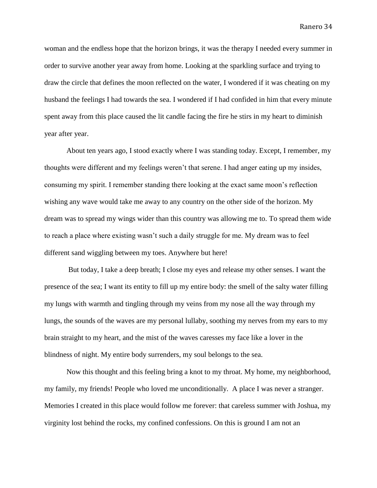woman and the endless hope that the horizon brings, it was the therapy I needed every summer in order to survive another year away from home. Looking at the sparkling surface and trying to draw the circle that defines the moon reflected on the water, I wondered if it was cheating on my husband the feelings I had towards the sea. I wondered if I had confided in him that every minute spent away from this place caused the lit candle facing the fire he stirs in my heart to diminish year after year.

About ten years ago, I stood exactly where I was standing today. Except, I remember, my thoughts were different and my feelings weren't that serene. I had anger eating up my insides, consuming my spirit. I remember standing there looking at the exact same moon's reflection wishing any wave would take me away to any country on the other side of the horizon. My dream was to spread my wings wider than this country was allowing me to. To spread them wide to reach a place where existing wasn't such a daily struggle for me. My dream was to feel different sand wiggling between my toes. Anywhere but here!

But today, I take a deep breath; I close my eyes and release my other senses. I want the presence of the sea; I want its entity to fill up my entire body: the smell of the salty water filling my lungs with warmth and tingling through my veins from my nose all the way through my lungs, the sounds of the waves are my personal lullaby, soothing my nerves from my ears to my brain straight to my heart, and the mist of the waves caresses my face like a lover in the blindness of night. My entire body surrenders, my soul belongs to the sea.

Now this thought and this feeling bring a knot to my throat. My home, my neighborhood, my family, my friends! People who loved me unconditionally. A place I was never a stranger. Memories I created in this place would follow me forever: that careless summer with Joshua, my virginity lost behind the rocks, my confined confessions. On this is ground I am not an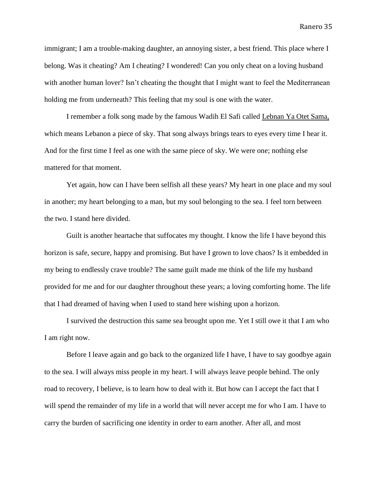immigrant; I am a trouble-making daughter, an annoying sister, a best friend. This place where I belong. Was it cheating? Am I cheating? I wondered! Can you only cheat on a loving husband with another human lover? Isn't cheating the thought that I might want to feel the Mediterranean holding me from underneath? This feeling that my soul is one with the water.

I remember a folk song made by the famous Wadih El Safi called Lebnan Ya Otet Sama, which means Lebanon a piece of sky. That song always brings tears to eyes every time I hear it. And for the first time I feel as one with the same piece of sky. We were one; nothing else mattered for that moment.

Yet again, how can I have been selfish all these years? My heart in one place and my soul in another; my heart belonging to a man, but my soul belonging to the sea. I feel torn between the two. I stand here divided.

Guilt is another heartache that suffocates my thought. I know the life I have beyond this horizon is safe, secure, happy and promising. But have I grown to love chaos? Is it embedded in my being to endlessly crave trouble? The same guilt made me think of the life my husband provided for me and for our daughter throughout these years; a loving comforting home. The life that I had dreamed of having when I used to stand here wishing upon a horizon.

I survived the destruction this same sea brought upon me. Yet I still owe it that I am who I am right now.

Before I leave again and go back to the organized life I have, I have to say goodbye again to the sea. I will always miss people in my heart. I will always leave people behind. The only road to recovery, I believe, is to learn how to deal with it. But how can I accept the fact that I will spend the remainder of my life in a world that will never accept me for who I am. I have to carry the burden of sacrificing one identity in order to earn another. After all, and most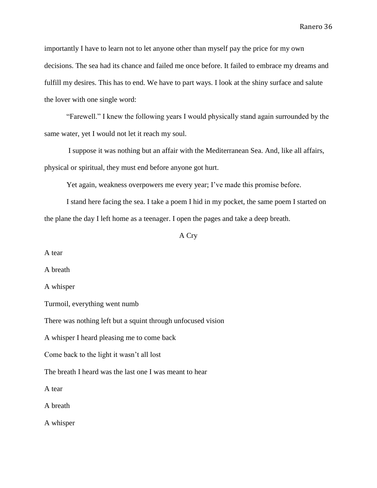importantly I have to learn not to let anyone other than myself pay the price for my own decisions. The sea had its chance and failed me once before. It failed to embrace my dreams and fulfill my desires. This has to end. We have to part ways. I look at the shiny surface and salute the lover with one single word:

"Farewell." I knew the following years I would physically stand again surrounded by the same water, yet I would not let it reach my soul.

I suppose it was nothing but an affair with the Mediterranean Sea. And, like all affairs, physical or spiritual, they must end before anyone got hurt.

Yet again, weakness overpowers me every year; I've made this promise before.

I stand here facing the sea. I take a poem I hid in my pocket, the same poem I started on the plane the day I left home as a teenager. I open the pages and take a deep breath.

# A Cry

A tear

A breath

A whisper

Turmoil, everything went numb

There was nothing left but a squint through unfocused vision

A whisper I heard pleasing me to come back

Come back to the light it wasn't all lost

The breath I heard was the last one I was meant to hear

A tear

A breath

A whisper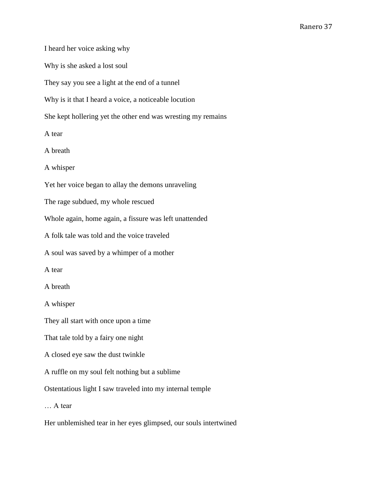I heard her voice asking why

Why is she asked a lost soul

They say you see a light at the end of a tunnel

Why is it that I heard a voice, a noticeable locution

She kept hollering yet the other end was wresting my remains

A tear

A breath

A whisper

Yet her voice began to allay the demons unraveling

The rage subdued, my whole rescued

Whole again, home again, a fissure was left unattended

A folk tale was told and the voice traveled

A soul was saved by a whimper of a mother

A tear

A breath

A whisper

They all start with once upon a time

That tale told by a fairy one night

A closed eye saw the dust twinkle

A ruffle on my soul felt nothing but a sublime

Ostentatious light I saw traveled into my internal temple

… A tear

Her unblemished tear in her eyes glimpsed, our souls intertwined